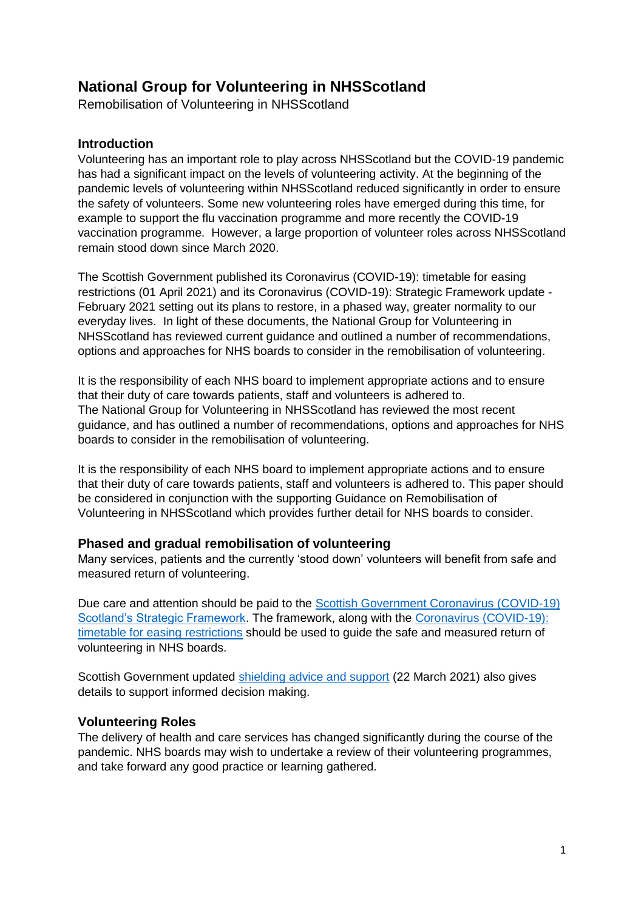# **National Group for Volunteering in NHSScotland**

Remobilisation of Volunteering in NHSScotland

## **Introduction**

Volunteering has an important role to play across NHSScotland but the COVID-19 pandemic has had a significant impact on the levels of volunteering activity. At the beginning of the pandemic levels of volunteering within NHSScotland reduced significantly in order to ensure the safety of volunteers. Some new volunteering roles have emerged during this time, for example to support the flu vaccination programme and more recently the COVID-19 vaccination programme. However, a large proportion of volunteer roles across NHSScotland remain stood down since March 2020.

The Scottish Government published its Coronavirus (COVID-19): timetable for easing restrictions (01 April 2021) and its Coronavirus (COVID-19): Strategic Framework update - February 2021 setting out its plans to restore, in a phased way, greater normality to our everyday lives. In light of these documents, the National Group for Volunteering in NHSScotland has reviewed current guidance and outlined a number of recommendations, options and approaches for NHS boards to consider in the remobilisation of volunteering.

It is the responsibility of each NHS board to implement appropriate actions and to ensure that their duty of care towards patients, staff and volunteers is adhered to. The National Group for Volunteering in NHSScotland has reviewed the most recent guidance, and has outlined a number of recommendations, options and approaches for NHS boards to consider in the remobilisation of volunteering.

It is the responsibility of each NHS board to implement appropriate actions and to ensure that their duty of care towards patients, staff and volunteers is adhered to. This paper should be considered in conjunction with the supporting Guidance on Remobilisation of Volunteering in NHSScotland which provides further detail for NHS boards to consider.

# **Phased and gradual remobilisation of volunteering**

Many services, patients and the currently 'stood down' volunteers will benefit from safe and measured return of volunteering.

Due care and attention should be paid to the [Scottish Government Coronavirus \(COVID-19\)](https://www.gov.scot/publications/coronavirus-covid-19-strategic-framework-update-february-2021/pages/summary/)  [Scotland's Strategic Framework.](https://www.gov.scot/publications/coronavirus-covid-19-strategic-framework-update-february-2021/pages/summary/) The framework, along with the [Coronavirus \(COVID-19\):](https://www.gov.scot/publications/coronavirus-covid-19-timetable-for-easing-restrictions/)  [timetable for easing restrictions](https://www.gov.scot/publications/coronavirus-covid-19-timetable-for-easing-restrictions/) should be used to guide the safe and measured return of volunteering in NHS boards.

Scottish Government updated [shielding advice and support](https://www.gov.scot/publications/covid-shielding/) (22 March 2021) also gives details to support informed decision making.

#### **Volunteering Roles**

The delivery of health and care services has changed significantly during the course of the pandemic. NHS boards may wish to undertake a review of their volunteering programmes, and take forward any good practice or learning gathered.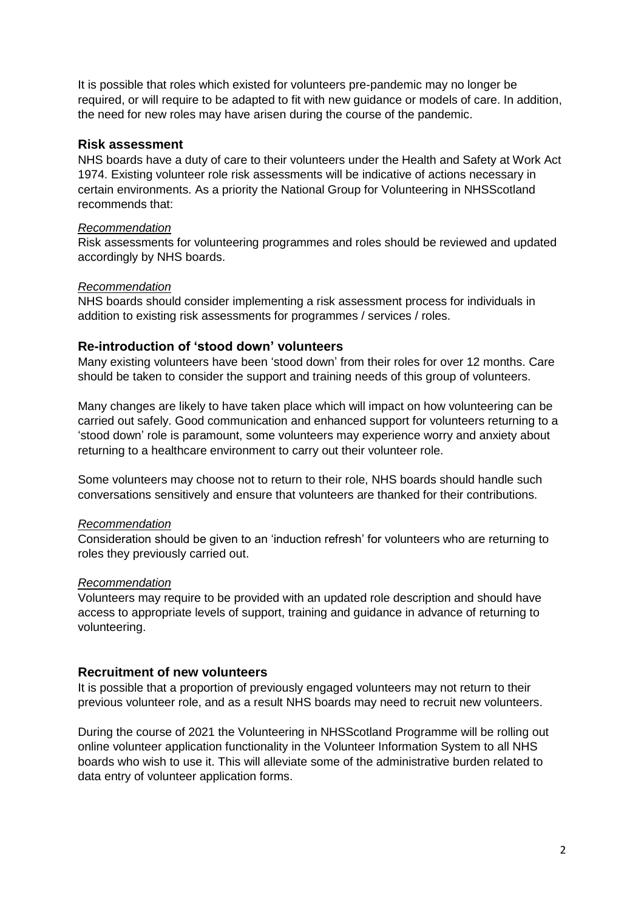It is possible that roles which existed for volunteers pre-pandemic may no longer be required, or will require to be adapted to fit with new guidance or models of care. In addition, the need for new roles may have arisen during the course of the pandemic.

## **Risk assessment**

NHS boards have a duty of care to their volunteers under the Health and Safety at Work Act 1974. Existing volunteer role risk assessments will be indicative of actions necessary in certain environments. As a priority the National Group for Volunteering in NHSScotland recommends that:

#### *Recommendation*

Risk assessments for volunteering programmes and roles should be reviewed and updated accordingly by NHS boards.

#### *Recommendation*

NHS boards should consider implementing a risk assessment process for individuals in addition to existing risk assessments for programmes / services / roles.

## **Re-introduction of 'stood down' volunteers**

Many existing volunteers have been 'stood down' from their roles for over 12 months. Care should be taken to consider the support and training needs of this group of volunteers.

Many changes are likely to have taken place which will impact on how volunteering can be carried out safely. Good communication and enhanced support for volunteers returning to a 'stood down' role is paramount, some volunteers may experience worry and anxiety about returning to a healthcare environment to carry out their volunteer role.

Some volunteers may choose not to return to their role, NHS boards should handle such conversations sensitively and ensure that volunteers are thanked for their contributions.

#### *Recommendation*

Consideration should be given to an 'induction refresh' for volunteers who are returning to roles they previously carried out.

#### *Recommendation*

Volunteers may require to be provided with an updated role description and should have access to appropriate levels of support, training and guidance in advance of returning to volunteering.

# **Recruitment of new volunteers**

It is possible that a proportion of previously engaged volunteers may not return to their previous volunteer role, and as a result NHS boards may need to recruit new volunteers.

During the course of 2021 the Volunteering in NHSScotland Programme will be rolling out online volunteer application functionality in the Volunteer Information System to all NHS boards who wish to use it. This will alleviate some of the administrative burden related to data entry of volunteer application forms.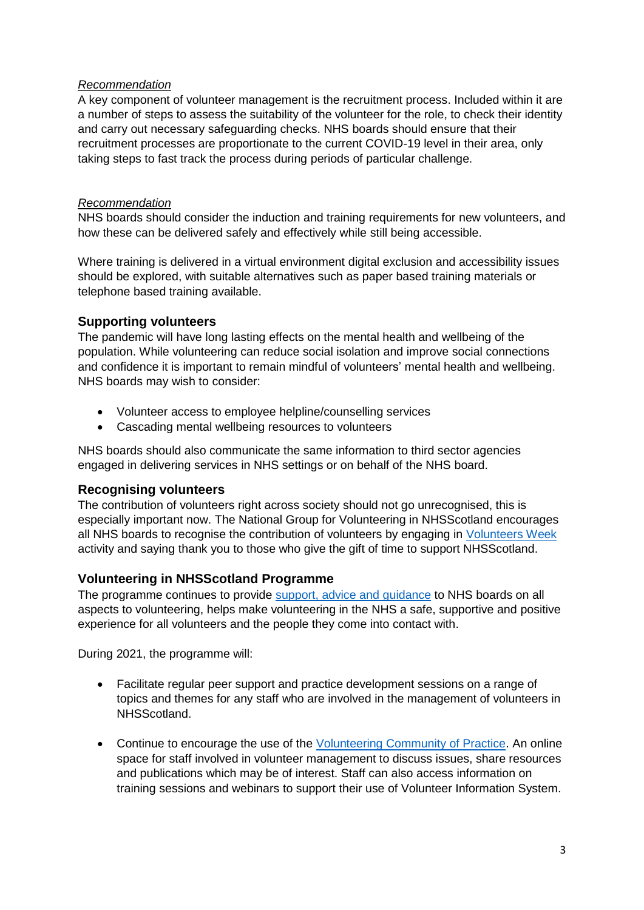## *Recommendation*

A key component of volunteer management is the recruitment process. Included within it are a number of steps to assess the suitability of the volunteer for the role, to check their identity and carry out necessary safeguarding checks. NHS boards should ensure that their recruitment processes are proportionate to the current COVID-19 level in their area, only taking steps to fast track the process during periods of particular challenge.

## *Recommendation*

NHS boards should consider the induction and training requirements for new volunteers, and how these can be delivered safely and effectively while still being accessible.

Where training is delivered in a virtual environment digital exclusion and accessibility issues should be explored, with suitable alternatives such as paper based training materials or telephone based training available.

# **Supporting volunteers**

The pandemic will have long lasting effects on the mental health and wellbeing of the population. While volunteering can reduce social isolation and improve social connections and confidence it is important to remain mindful of volunteers' mental health and wellbeing. NHS boards may wish to consider:

- Volunteer access to employee helpline/counselling services
- Cascading mental wellbeing resources to volunteers

NHS boards should also communicate the same information to third sector agencies engaged in delivering services in NHS settings or on behalf of the NHS board.

# **Recognising volunteers**

The contribution of volunteers right across society should not go unrecognised, this is especially important now. The National Group for Volunteering in NHSScotland encourages all NHS boards to recognise the contribution of volunteers by engaging in [Volunteers Week](https://volunteersweek.org/) activity and saying thank you to those who give the gift of time to support NHSScotland.

# **Volunteering in NHSScotland Programme**

The programme continues to provide [support, advice and guidance](https://www.hisengage.scot/equipping-professionals/volunteering-in-nhs-scotland/guidance-and-publications/volunteering-during-covid-19/) to NHS boards on all aspects to volunteering, helps make volunteering in the NHS a safe, supportive and positive experience for all volunteers and the people they come into contact with.

During 2021, the programme will:

- Facilitate regular peer support and practice development sessions on a range of topics and themes for any staff who are involved in the management of volunteers in NHSScotland.
- Continue to encourage the use of the [Volunteering Community of Practice.](http://www.knowledge.scot.nhs.uk/volunteering.aspx) An online space for staff involved in volunteer management to discuss issues, share resources and publications which may be of interest. Staff can also access information on training sessions and webinars to support their use of Volunteer Information System.